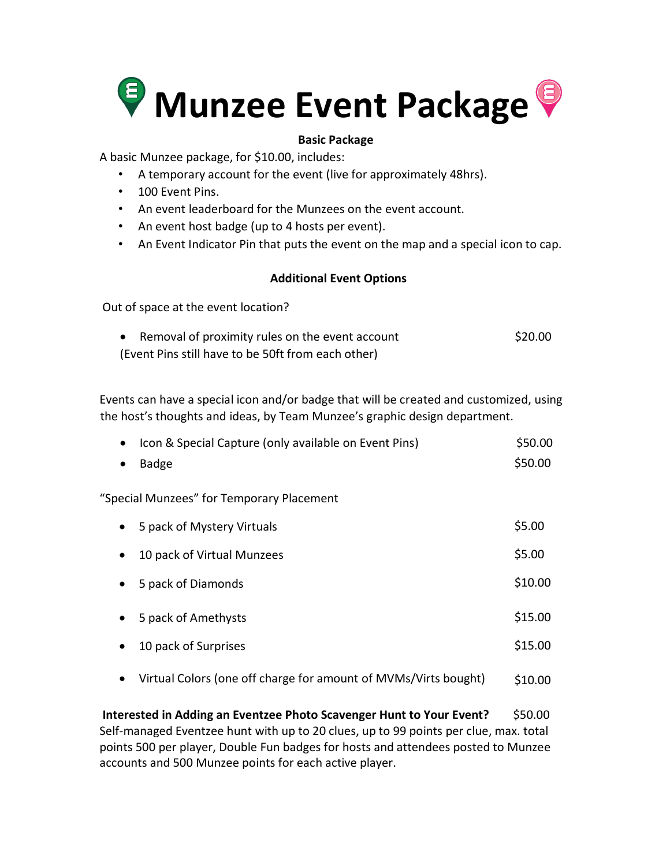

## **Basic Package**

A basic Munzee package, for \$10.00, includes:

- A temporary account for the event (live for approximately 48hrs).
- 100 Event Pins.
- An event leaderboard for the Munzees on the event account.
- An event host badge (up to 4 hosts per event).
- An Event Indicator Pin that puts the event on the map and a special icon to cap.

## **Additional Event Options**

Out of space at the event location?

| $\bullet$ | Removal of proximity rules on the event account    | \$20.00 |
|-----------|----------------------------------------------------|---------|
|           | (Event Pins still have to be 50ft from each other) |         |

Events can have a special icon and/or badge that will be created and customized, using the host's thoughts and ideas, by Team Munzee's graphic design department.

| Icon & Special Capture (only available on Event Pins)<br>$\bullet$ | \$50.00 |
|--------------------------------------------------------------------|---------|
| <b>Badge</b><br>$\bullet$                                          | \$50.00 |
| "Special Munzees" for Temporary Placement                          |         |
| 5 pack of Mystery Virtuals<br>$\bullet$                            | \$5.00  |
| 10 pack of Virtual Munzees<br>$\bullet$                            | \$5.00  |
| 5 pack of Diamonds<br>٠                                            | \$10.00 |
| 5 pack of Amethysts<br>٠                                           | \$15.00 |
| 10 pack of Surprises<br>$\bullet$                                  | \$15.00 |

 Virtual Colors (one off charge for amount of MVMs/Virts bought) \$10.00

**Interested in Adding an Eventzee Photo Scavenger Hunt to Your Event?** \$50.00 Self-managed Eventzee hunt with up to 20 clues, up to 99 points per clue, max. total points 500 per player, Double Fun badges for hosts and attendees posted to Munzee accounts and 500 Munzee points for each active player.